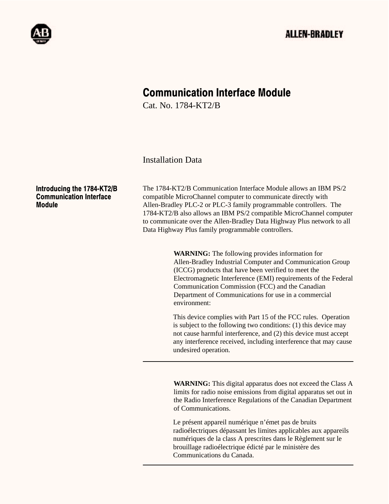

# Communication Interface Module

Cat. No. 1784-KT2/B

Installation Data

Introducing the 1784-KT2/B Communication Interface Module

The 1784-KT2/B Communication Interface Module allows an IBM PS/2 compatible MicroChannel computer to communicate directly with Allen-Bradley PLC-2 or PLC-3 family programmable controllers. The 1784-KT2/B also allows an IBM PS/2 compatible MicroChannel computer to communicate over the Allen-Bradley Data Highway Plus network to all Data Highway Plus family programmable controllers.

> **WARNING:** The following provides information for Allen-Bradley Industrial Computer and Communication Group (ICCG) products that have been verified to meet the Electromagnetic Interference (EMI) requirements of the Federal Communication Commission (FCC) and the Canadian Department of Communications for use in a commercial environment:

> This device complies with Part 15 of the FCC rules. Operation is subject to the following two conditions: (1) this device may not cause harmful interference, and (2) this device must accept any interference received, including interference that may cause undesired operation.

> **WARNING:** This digital apparatus does not exceed the Class A limits for radio noise emissions from digital apparatus set out in the Radio Interference Regulations of the Canadian Department of Communications.

Le présent appareil numérique n'émet pas de bruits radioélectriques dépassant les limites applicables aux appareils numériques de la class A prescrites dans le Règlement sur le brouillage radioélectrique édicté par le ministère des Communications du Canada.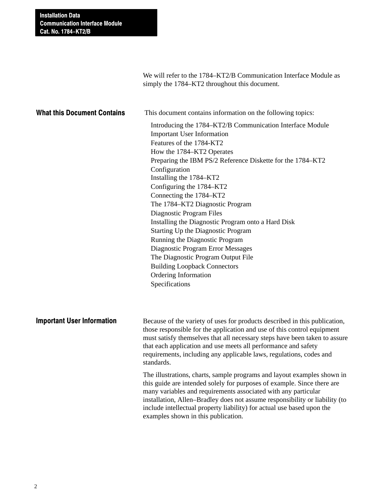We will refer to the 1784–KT2/B Communication Interface Module as simply the 1784–KT2 throughout this document.

| <b>What this Document Contains</b> | This document contains information on the following topics:                                                                                                                                                                                                                                                                                                                                                                                                                                                                                                                                                                                                                       |
|------------------------------------|-----------------------------------------------------------------------------------------------------------------------------------------------------------------------------------------------------------------------------------------------------------------------------------------------------------------------------------------------------------------------------------------------------------------------------------------------------------------------------------------------------------------------------------------------------------------------------------------------------------------------------------------------------------------------------------|
|                                    | Introducing the 1784-KT2/B Communication Interface Module<br><b>Important User Information</b><br>Features of the 1784-KT2<br>How the 1784-KT2 Operates<br>Preparing the IBM PS/2 Reference Diskette for the 1784–KT2<br>Configuration<br>Installing the 1784-KT2<br>Configuring the 1784-KT2<br>Connecting the 1784–KT2<br>The 1784–KT2 Diagnostic Program<br>Diagnostic Program Files<br>Installing the Diagnostic Program onto a Hard Disk<br>Starting Up the Diagnostic Program<br>Running the Diagnostic Program<br>Diagnostic Program Error Messages<br>The Diagnostic Program Output File<br><b>Building Loopback Connectors</b><br>Ordering Information<br>Specifications |
| <b>Important User Information</b>  | Because of the variety of uses for products described in this publication,<br>those responsible for the application and use of this control equipment<br>must satisfy themselves that all necessary steps have been taken to assure<br>that each application and use meets all performance and safety<br>requirements, including any applicable laws, regulations, codes and<br>standards.                                                                                                                                                                                                                                                                                        |
|                                    | The illustrations, charts, sample programs and layout examples shown in<br>this guide are intended solely for purposes of example. Since there are<br>many variables and requirements associated with any particular<br>installation, Allen-Bradley does not assume responsibility or liability (to<br>include intellectual property liability) for actual use based upon the<br>examples shown in this publication.                                                                                                                                                                                                                                                              |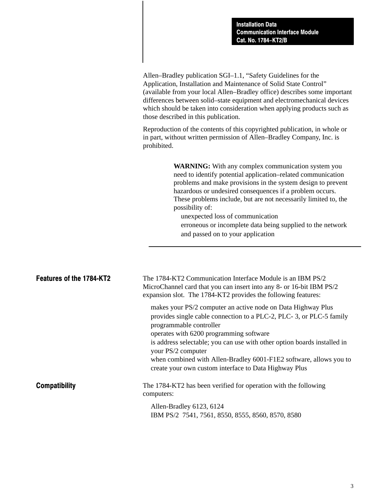Installation Data Communication Interface Module Cat. No. 1784-KT2/B

Allen–Bradley publication SGI–1.1, "Safety Guidelines for the Application, Installation and Maintenance of Solid State Control" (available from your local Allen–Bradley office) describes some important differences between solid–state equipment and electromechanical devices which should be taken into consideration when applying products such as those described in this publication.

Reproduction of the contents of this copyrighted publication, in whole or in part, without written permission of Allen–Bradley Company, Inc. is prohibited.

> **WARNING:** With any complex communication system you need to identify potential application–related communication problems and make provisions in the system design to prevent hazardous or undesired consequences if a problem occurs. These problems include, but are not necessarily limited to, the possibility of:

unexpected loss of communication erroneous or incomplete data being supplied to the network and passed on to your application

| Features of the 1784-KT2 | The 1784-KT2 Communication Interface Module is an IBM $PS/2^{\circledR}$<br>MicroChannel card that you can insert into any 8- or 16-bit IBM PS/2<br>expansion slot. The 1784-KT2 provides the following features:             |
|--------------------------|-------------------------------------------------------------------------------------------------------------------------------------------------------------------------------------------------------------------------------|
|                          | makes your PS/2 computer an active node on Data Highway Plus<br>provides single cable connection to a PLC-2, PLC-3, or PLC-5 family<br>programmable controller<br>operates with 6200 programming software                     |
|                          | is address selectable; you can use with other option boards installed in<br>your PS/2 computer<br>when combined with Allen-Bradley 6001-F1E2 software, allows you to<br>create your own custom interface to Data Highway Plus |
| <b>Compatibility</b>     | The 1784-KT2 has been verified for operation with the following<br>computers:                                                                                                                                                 |
|                          | Allen-Bradley 6123, 6124<br>IBM PS/2 7541, 7561, 8550, 8555, 8560, 8570, 8580                                                                                                                                                 |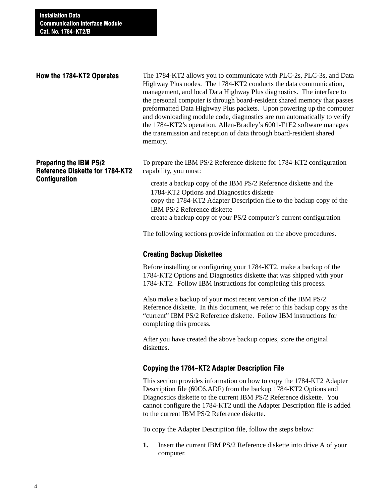#### How the 1784-KT2 Operates

The 1784-KT2 allows you to communicate with PLC-2s, PLC-3s, and Data Highway Plus nodes. The 1784-KT2 conducts the data communication, management, and local Data Highway Plus diagnostics. The interface to the personal computer is through board-resident shared memory that passes preformatted Data Highway Plus packets. Upon powering up the computer and downloading module code, diagnostics are run automatically to verify the 1784-KT2's operation. Allen-Bradley's 6001-F1E2 software manages the transmission and reception of data through board-resident shared memory.

# Preparing the IBM PS/2 Reference Diskette for 1784-KT2 **Configuration**

To prepare the IBM PS/2 Reference diskette for 1784-KT2 configuration capability, you must:

create a backup copy of the IBM PS/2 Reference diskette and the 1784-KT2 Options and Diagnostics diskette copy the 1784-KT2 Adapter Description file to the backup copy of the IBM PS/2 Reference diskette create a backup copy of your PS/2 computer's current configuration

The following sections provide information on the above procedures.

# Creating Backup Diskettes

Before installing or configuring your 1784-KT2, make a backup of the 1784-KT2 Options and Diagnostics diskette that was shipped with your 1784-KT2. Follow IBM instructions for completing this process.

Also make a backup of your most recent version of the IBM PS/2 Reference diskette. In this document, we refer to this backup copy as the "current" IBM PS/2 Reference diskette. Follow IBM instructions for completing this process.

After you have created the above backup copies, store the original diskettes.

# Copying the 1784-KT2 Adapter Description File

This section provides information on how to copy the 1784-KT2 Adapter Description file (60C6.ADF) from the backup 1784-KT2 Options and Diagnostics diskette to the current IBM PS/2 Reference diskette. You cannot configure the 1784-KT2 until the Adapter Description file is added to the current IBM PS/2 Reference diskette.

To copy the Adapter Description file, follow the steps below:

**1.** Insert the current IBM PS/2 Reference diskette into drive A of your computer.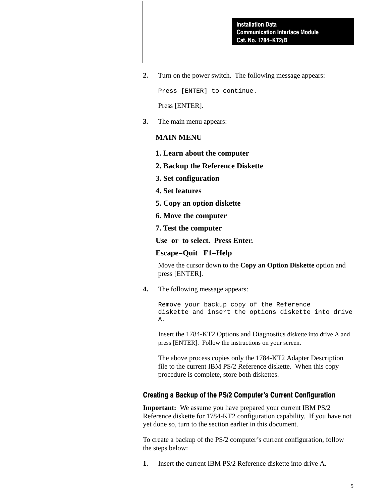**2.** Turn on the power switch. The following message appears:

Press [ENTER] to continue.

Press [ENTER].

**3.** The main menu appears:

#### **MAIN MENU**

- **1. Learn about the computer**
- **2. Backup the Reference Diskette**
- **3. Set configuration**
- **4. Set features**
- **5. Copy an option diskette**
- **6. Move the computer**
- **7. Test the computer**

**Use or to select. Press Enter.**

#### **Escape=Quit F1=Help**

Move the cursor down to the **Copy an Option Diskette** option and press [ENTER].

**4.** The following message appears:

```
Remove your backup copy of the Reference
diskette and insert the options diskette into drive
A.
```
Insert the 1784-KT2 Options and Diagnostics diskette into drive A and press [ENTER]. Follow the instructions on your screen.

The above process copies only the 1784-KT2 Adapter Description file to the current IBM PS/2 Reference diskette. When this copy procedure is complete, store both diskettes.

#### Creating a Backup of the PS/2 Computer's Current Configuration

**Important:** We assume you have prepared your current IBM PS/2 Reference diskette for 1784-KT2 configuration capability. If you have not yet done so, turn to the section earlier in this document.

To create a backup of the PS/2 computer's current configuration, follow the steps below:

**1.** Insert the current IBM PS/2 Reference diskette into drive A.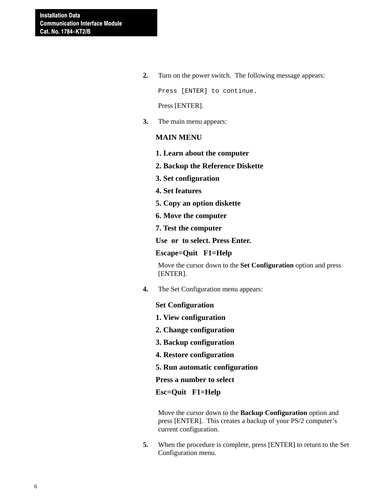**2.** Turn on the power switch. The following message appears:

Press [ENTER] to continue.

Press [ENTER].

**3.** The main menu appears:

#### **MAIN MENU**

- **1. Learn about the computer**
- **2. Backup the Reference Diskette**
- **3. Set configuration**
- **4. Set features**
- **5. Copy an option diskette**
- **6. Move the computer**
- **7. Test the computer**

**Use or to select. Press Enter.**

**Escape=Quit F1=Help**

Move the cursor down to the **Set Configuration** option and press [ENTER].

**4.** The Set Configuration menu appears:

#### **Set Configuration**

- **1. View configuration**
- **2. Change configuration**
- **3. Backup configuration**
- **4. Restore configuration**
- **5. Run automatic configuration**

**Press a number to select**

#### **Esc=Quit F1=Help**

Move the cursor down to the **Backup Configuration** option and press [ENTER]. This creates a backup of your PS/2 computer's current configuration.

**5.** When the procedure is complete, press [ENTER] to return to the Set Configuration menu.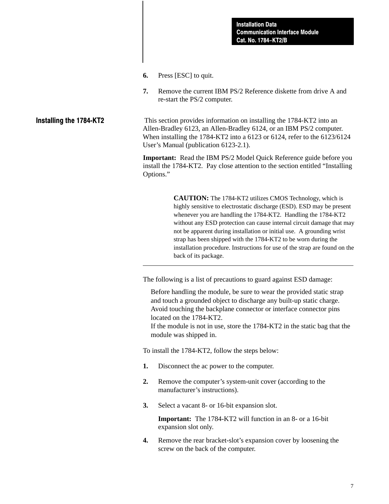- **6.** Press [ESC] to quit.
- **7.** Remove the current IBM PS/2 Reference diskette from drive A and re-start the PS/2 computer.

This section provides information on installing the 1784-KT2 into an Allen-Bradley 6123, an Allen-Bradley 6124, or an IBM PS/2 computer. When installing the 1784-KT2 into a 6123 or 6124, refer to the 6123/6124 User's Manual (publication 6123-2.1). Installing the 1784-KT2

> **Important:** Read the IBM PS/2 Model Quick Reference guide before you install the 1784-KT2. Pay close attention to the section entitled "Installing Options."

> > **CAUTION:** The 1784-KT2 utilizes CMOS Technology, which is highly sensitive to electrostatic discharge (ESD). ESD may be present whenever you are handling the 1784-KT2. Handling the 1784-KT2 without any ESD protection can cause internal circuit damage that may not be apparent during installation or initial use. A grounding wrist strap has been shipped with the 1784-KT2 to be worn during the installation procedure. Instructions for use of the strap are found on the back of its package.

The following is a list of precautions to guard against ESD damage:

Before handling the module, be sure to wear the provided static strap and touch a grounded object to discharge any built-up static charge. Avoid touching the backplane connector or interface connector pins located on the 1784-KT2.

If the module is not in use, store the 1784-KT2 in the static bag that the module was shipped in.

To install the 1784-KT2, follow the steps below:

- **1.** Disconnect the ac power to the computer.
- **2.** Remove the computer's system-unit cover (according to the manufacturer's instructions).
- **3.** Select a vacant 8- or 16-bit expansion slot.

**Important:** The 1784-KT2 will function in an 8- or a 16-bit expansion slot only.

**4.** Remove the rear bracket-slot's expansion cover by loosening the screw on the back of the computer.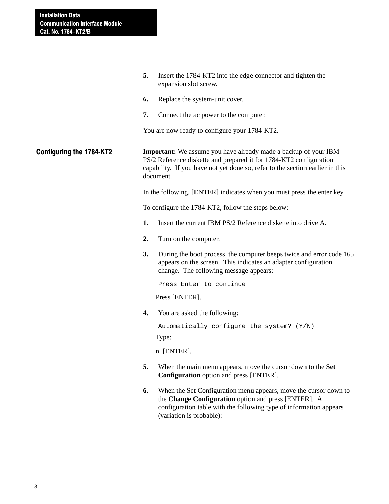|                                 | 5. | Insert the 1784-KT2 into the edge connector and tighten the<br>expansion slot screw.                                                                                                                                                       |
|---------------------------------|----|--------------------------------------------------------------------------------------------------------------------------------------------------------------------------------------------------------------------------------------------|
|                                 | 6. | Replace the system-unit cover.                                                                                                                                                                                                             |
|                                 | 7. | Connect the ac power to the computer.                                                                                                                                                                                                      |
|                                 |    | You are now ready to configure your 1784-KT2.                                                                                                                                                                                              |
| <b>Configuring the 1784-KT2</b> |    | <b>Important:</b> We assume you have already made a backup of your IBM<br>PS/2 Reference diskette and prepared it for 1784-KT2 configuration<br>capability. If you have not yet done so, refer to the section earlier in this<br>document. |
|                                 |    | In the following, [ENTER] indicates when you must press the enter key.                                                                                                                                                                     |
|                                 |    | To configure the 1784-KT2, follow the steps below:                                                                                                                                                                                         |
|                                 | 1. | Insert the current IBM PS/2 Reference diskette into drive A.                                                                                                                                                                               |
|                                 | 2. | Turn on the computer.                                                                                                                                                                                                                      |
|                                 | 3. | During the boot process, the computer beeps twice and error code 165<br>appears on the screen. This indicates an adapter configuration<br>change. The following message appears:                                                           |
|                                 |    | Press Enter to continue                                                                                                                                                                                                                    |
|                                 |    | Press [ENTER].                                                                                                                                                                                                                             |
|                                 | 4. | You are asked the following:                                                                                                                                                                                                               |
|                                 |    | Automatically configure the system? (Y/N)                                                                                                                                                                                                  |
|                                 |    | Type:                                                                                                                                                                                                                                      |
|                                 |    | n [ENTER].                                                                                                                                                                                                                                 |
|                                 | 5. | When the main menu appears, move the cursor down to the Set<br><b>Configuration</b> option and press [ENTER].                                                                                                                              |
|                                 | 6. | When the Set Configuration menu appears, move the cursor down to<br>the Change Configuration option and press [ENTER]. A<br>configuration table with the following type of information appears<br>(variation is probable):                 |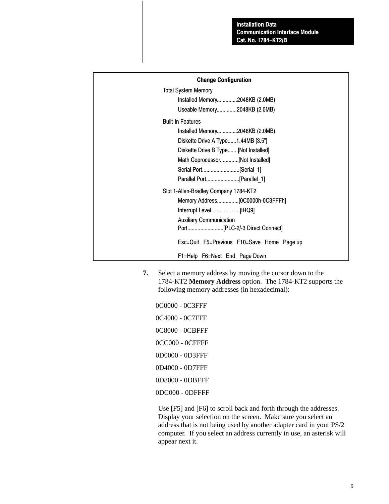| <b>Change Configuration</b>                |  |  |  |
|--------------------------------------------|--|--|--|
| <b>Total System Memory</b>                 |  |  |  |
| Installed Memory2048KB (2.0MB)             |  |  |  |
| Useable Memory2048KB (2.0MB)               |  |  |  |
| <b>Built-In Features</b>                   |  |  |  |
| Installed Memory2048KB (2.0MB)             |  |  |  |
| Diskette Drive A Type1.44MB [3.5"]         |  |  |  |
| Diskette Drive B Type [Not Installed]      |  |  |  |
| Math Coprocessor[Not Installed]            |  |  |  |
|                                            |  |  |  |
| Parallel Port[Parallel 1]                  |  |  |  |
| Slot 1-Allen-Bradley Company 1784-KT2      |  |  |  |
|                                            |  |  |  |
| Interrupt Level[IRQ9]                      |  |  |  |
| <b>Auxiliary Communication</b>             |  |  |  |
|                                            |  |  |  |
| Esc=Quit F5=Previous F10=Save Home Page up |  |  |  |
| F1=Help F6=Next End Page Down              |  |  |  |

**7.** Select a memory address by moving the cursor down to the 1784-KT2 **Memory Address** option. The 1784-KT2 supports the following memory addresses (in hexadecimal):

0C0000 - 0C3FFF 0C4000 - 0C7FFF 0C8000 - 0CBFFF 0CC000 - 0CFFFF 0D0000 - 0D3FFF 0D4000 - 0D7FFF 0D8000 - 0DBFFF 0DC000 - 0DFFFF

Use [F5] and [F6] to scroll back and forth through the addresses. Display your selection on the screen. Make sure you select an address that is not being used by another adapter card in your PS/2 computer. If you select an address currently in use, an asterisk will appear next it.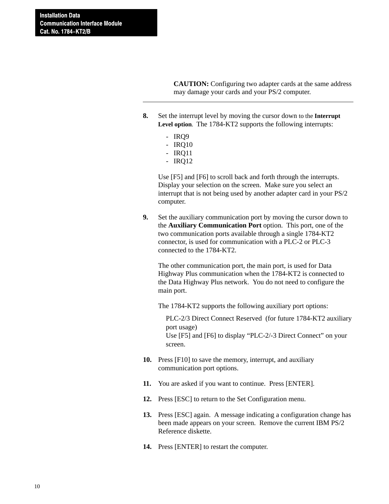**CAUTION:** Configuring two adapter cards at the same address may damage your cards and your PS/2 computer.

- **8.** Set the interrupt level by moving the cursor down to the **Interrupt Level option**. The 1784-KT2 supports the following interrupts:
	- IRQ9
	- IRQ10
	- IRQ11 - IRQ12
	-

screen.

Use [F5] and [F6] to scroll back and forth through the interrupts. Display your selection on the screen. Make sure you select an interrupt that is not being used by another adapter card in your PS/2 computer.

**9.** Set the auxiliary communication port by moving the cursor down to the **Auxiliary Communication Port** option. This port, one of the two communication ports available through a single 1784-KT2 connector, is used for communication with a PLC-2 or PLC-3 connected to the 1784-KT2.

The other communication port, the main port, is used for Data Highway Plus communication when the 1784-KT2 is connected to the Data Highway Plus network. You do not need to configure the main port.

The 1784-KT2 supports the following auxiliary port options:

PLC-2/3 Direct Connect Reserved (for future 1784-KT2 auxiliary port usage) Use [F5] and [F6] to display "PLC-2/-3 Direct Connect" on your

- **10.** Press [F10] to save the memory, interrupt, and auxiliary communication port options.
- **11.** You are asked if you want to continue. Press [ENTER].
- **12.** Press [ESC] to return to the Set Configuration menu.
- **13.** Press [ESC] again. A message indicating a configuration change has been made appears on your screen. Remove the current IBM PS/2 Reference diskette.
- **14.** Press [ENTER] to restart the computer.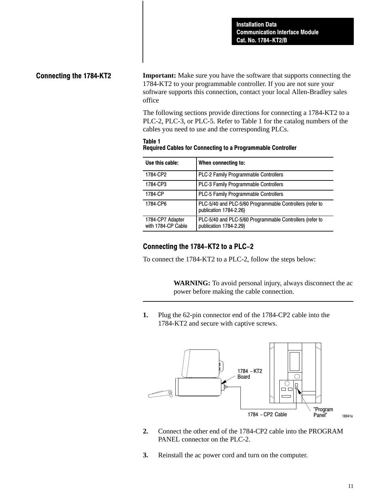# Connecting the 1784-KT2

**Important:** Make sure you have the software that supports connecting the 1784-KT2 to your programmable controller. If you are not sure your software supports this connection, contact your local Allen-Bradley sales office

The following sections provide directions for connecting a 1784-KT2 to a PLC-2, PLC-3, or PLC-5. Refer to Table 1 for the catalog numbers of the cables you need to use and the corresponding PLCs.

|                                        | IAVIC I<br><b>Required Cables for Connecting to a Programmable Controller</b>      |  |  |  |
|----------------------------------------|------------------------------------------------------------------------------------|--|--|--|
| Use this cable:                        | When connecting to:                                                                |  |  |  |
| 1784-CP2                               | <b>PLC-2 Family Programmable Controllers</b>                                       |  |  |  |
| 1784-CP3                               | <b>PLC-3 Family Programmable Controllers</b>                                       |  |  |  |
| 1784-CP                                | PLC-5 Family Programmable Controllers                                              |  |  |  |
| 1784-CP6                               | PLC-5/40 and PLC-5/60 Programmable Controllers (refer to<br>publication 1784-2.26) |  |  |  |
| 1784-CP7 Adapter<br>with 1784-CP Cable | PLC-5/40 and PLC-5/60 Programmable Controllers (refer to<br>publication 1784-2.29) |  |  |  |

Table 1

# Connecting the 1784-KT2 to a PLC-2

To connect the 1784-KT2 to a PLC-2, follow the steps below:

**WARNING:** To avoid personal injury, always disconnect the ac power before making the cable connection.

**1.** Plug the 62-pin connector end of the 1784-CP2 cable into the 1784-KT2 and secure with captive screws.



- **2.** Connect the other end of the 1784-CP2 cable into the PROGRAM PANEL connector on the PLC-2.
- **3.** Reinstall the ac power cord and turn on the computer.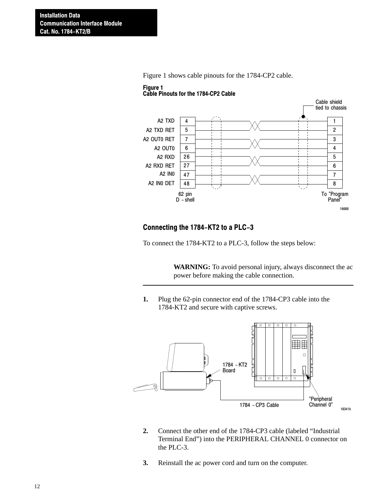Figure 1 shows cable pinouts for the 1784-CP2 cable.

#### Figure 1 Cable Pinouts for the 1784-CP2 Cable



# Connecting the 1784-KT2 to a PLC-3

To connect the 1784-KT2 to a PLC-3, follow the steps below:

**WARNING:** To avoid personal injury, always disconnect the ac power before making the cable connection.

**1.** Plug the 62-pin connector end of the 1784-CP3 cable into the 1784-KT2 and secure with captive screws.



- **2.** Connect the other end of the 1784-CP3 cable (labeled "Industrial Terminal End") into the PERIPHERAL CHANNEL 0 connector on the PLC-3.
- **3.** Reinstall the ac power cord and turn on the computer.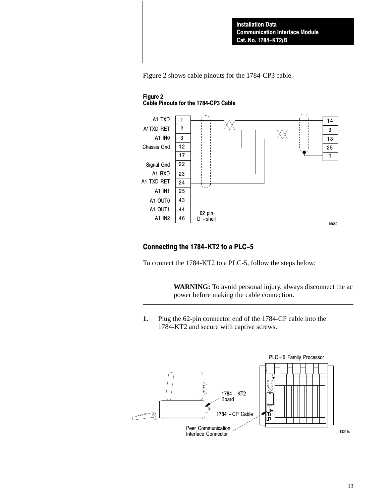Figure 2 shows cable pinouts for the 1784-CP3 cable.



#### Figure 2 Cable Pinouts for the 1784-CP3 Cable

# Connecting the 1784-KT2 to a PLC-5

To connect the 1784-KT2 to a PLC-5, follow the steps below:

**WARNING:** To avoid personal injury, always disconnect the ac power before making the cable connection.

**1.** Plug the 62-pin connector end of the 1784-CP cable into the 1784-KT2 and secure with captive screws.

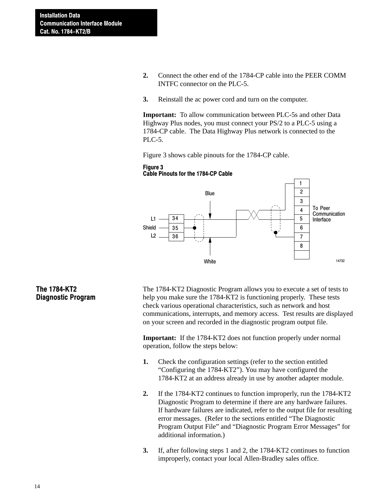- **2.** Connect the other end of the 1784-CP cable into the PEER COMM INTFC connector on the PLC-5.
- **3.** Reinstall the ac power cord and turn on the computer.

**Important:** To allow communication between PLC-5s and other Data Highway Plus nodes, you must connect your PS/2 to a PLC-5 using a 1784-CP cable. The Data Highway Plus network is connected to the PLC-5.

Figure 3 shows cable pinouts for the 1784-CP cable.

#### Figure 3 Cable Pinouts for the 1784-CP Cable



The 1784-KT2 Diagnostic Program

The 1784-KT2 Diagnostic Program allows you to execute a set of tests to help you make sure the 1784-KT2 is functioning properly. These tests check various operational characteristics, such as network and host communications, interrupts, and memory access. Test results are displayed on your screen and recorded in the diagnostic program output file.

**Important:** If the 1784-KT2 does not function properly under normal operation, follow the steps below:

- **1.** Check the configuration settings (refer to the section entitled "Configuring the 1784-KT2"). You may have configured the 1784-KT2 at an address already in use by another adapter module.
- **2.** If the 1784-KT2 continues to function improperly, run the 1784-KT2 Diagnostic Program to determine if there are any hardware failures. If hardware failures are indicated, refer to the output file for resulting error messages. (Refer to the sections entitled "The Diagnostic Program Output File" and "Diagnostic Program Error Messages" for additional information.)
- **3.** If, after following steps 1 and 2, the 1784-KT2 continues to function improperly, contact your local Allen-Bradley sales office.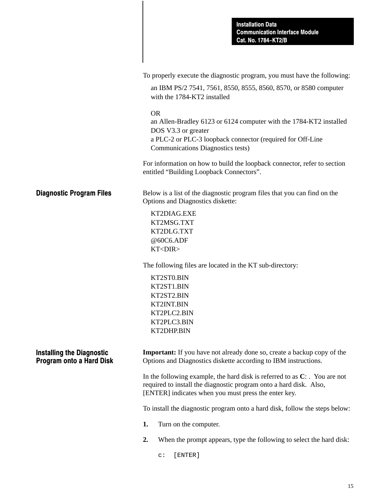|                                                              | <b>Installation Data</b><br><b>Communication Interface Module</b><br>Cat. No. 1784-KT2/B                                                                                                                  |  |  |
|--------------------------------------------------------------|-----------------------------------------------------------------------------------------------------------------------------------------------------------------------------------------------------------|--|--|
|                                                              |                                                                                                                                                                                                           |  |  |
|                                                              | To properly execute the diagnostic program, you must have the following:                                                                                                                                  |  |  |
|                                                              | an IBM PS/2 7541, 7561, 8550, 8555, 8560, 8570, or 8580 computer<br>with the 1784-KT2 installed                                                                                                           |  |  |
|                                                              | <b>OR</b><br>an Allen-Bradley 6123 or 6124 computer with the 1784-KT2 installed<br>DOS V3.3 or greater                                                                                                    |  |  |
|                                                              | a PLC-2 or PLC-3 loopback connector (required for Off-Line<br>Communications Diagnostics tests)                                                                                                           |  |  |
|                                                              | For information on how to build the loopback connector, refer to section<br>entitled "Building Loopback Connectors".                                                                                      |  |  |
| <b>Diagnostic Program Files</b>                              | Below is a list of the diagnostic program files that you can find on the<br>Options and Diagnostics diskette:                                                                                             |  |  |
|                                                              | KT2DIAG.EXE<br>KT2MSG.TXT<br>KT2DLG.TXT<br>@60C6.ADF<br>KT <dir></dir>                                                                                                                                    |  |  |
|                                                              | The following files are located in the KT sub-directory:                                                                                                                                                  |  |  |
|                                                              | KT2ST0.BIN<br>KT2ST1.BIN<br>KT2ST2.BIN                                                                                                                                                                    |  |  |
|                                                              | KT2INT.BIN<br>KT2PLC2.BIN<br>KT2PLC3.BIN<br>KT2DHP.BIN                                                                                                                                                    |  |  |
| <b>Installing the Diagnostic</b><br>Program onto a Hard Disk | <b>Important:</b> If you have not already done so, create a backup copy of the<br>Options and Diagnostics diskette according to IBM instructions.                                                         |  |  |
|                                                              | In the following example, the hard disk is referred to as $C$ : You are not<br>required to install the diagnostic program onto a hard disk. Also,<br>[ENTER] indicates when you must press the enter key. |  |  |
|                                                              | To install the diagnostic program onto a hard disk, follow the steps below:                                                                                                                               |  |  |
|                                                              | 1.<br>Turn on the computer.                                                                                                                                                                               |  |  |
|                                                              | 2.<br>When the prompt appears, type the following to select the hard disk:                                                                                                                                |  |  |
|                                                              | [ENTER]<br>$\sim$ :                                                                                                                                                                                       |  |  |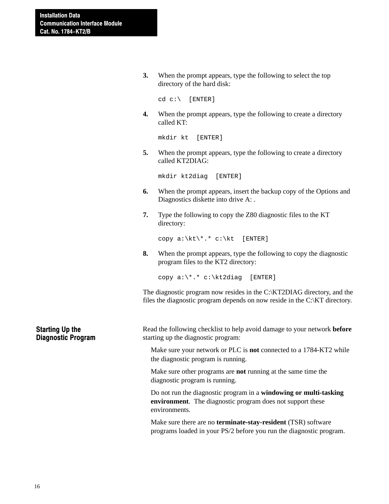| 3. | When the prompt appears, type the following to select the top |
|----|---------------------------------------------------------------|
|    | directory of the hard disk:                                   |

```
cd c:\ [ENTER]
```
**4.** When the prompt appears, type the following to create a directory called KT:

mkdir kt [ENTER]

**5.** When the prompt appears, type the following to create a directory called KT2DIAG:

mkdir kt2diag [ENTER]

- **6.** When the prompt appears, insert the backup copy of the Options and Diagnostics diskette into drive A: .
- **7.** Type the following to copy the Z80 diagnostic files to the KT directory:

copy  $a:\k t.*. * c:\kt [ENTER]$ 

**8.** When the prompt appears, type the following to copy the diagnostic program files to the KT2 directory:

copy a:\\*.\* c:\kt2diag [ENTER]

The diagnostic program now resides in the C:\KT2DIAG directory, and the files the diagnostic program depends on now reside in the C:\KT directory.

Starting Up the Diagnostic Program Read the following checklist to help avoid damage to your network **before** starting up the diagnostic program:

Make sure your network or PLC is **not** connected to a 1784-KT2 while the diagnostic program is running.

Make sure other programs are **not** running at the same time the diagnostic program is running.

Do not run the diagnostic program in a **windowing or multi-tasking environment**. The diagnostic program does not support these environments.

Make sure there are no **terminate-stay-resident** (TSR) software programs loaded in your PS/2 before you run the diagnostic program.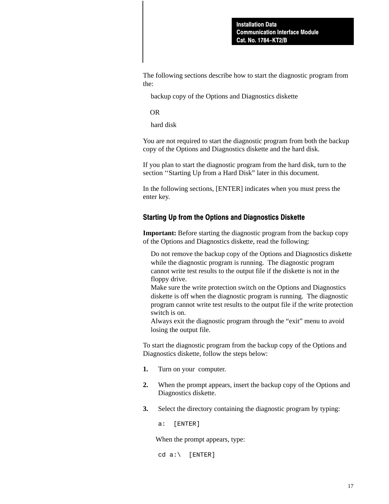The following sections describe how to start the diagnostic program from the:

backup copy of the Options and Diagnostics diskette

OR

hard disk

You are not required to start the diagnostic program from both the backup copy of the Options and Diagnostics diskette and the hard disk.

If you plan to start the diagnostic program from the hard disk, turn to the section ''Starting Up from a Hard Disk" later in this document.

In the following sections, [ENTER] indicates when you must press the enter key.

# Starting Up from the Options and Diagnostics Diskette

**Important:** Before starting the diagnostic program from the backup copy of the Options and Diagnostics diskette, read the following:

Do not remove the backup copy of the Options and Diagnostics diskette while the diagnostic program is running. The diagnostic program cannot write test results to the output file if the diskette is not in the floppy drive.

Make sure the write protection switch on the Options and Diagnostics diskette is off when the diagnostic program is running. The diagnostic program cannot write test results to the output file if the write protection switch is on.

Always exit the diagnostic program through the "exit" menu to avoid losing the output file.

To start the diagnostic program from the backup copy of the Options and Diagnostics diskette, follow the steps below:

- **1.** Turn on your computer.
- **2.** When the prompt appears, insert the backup copy of the Options and Diagnostics diskette.
- **3.** Select the directory containing the diagnostic program by typing:

a: [ENTER]

When the prompt appears, type:

cd  $a:\$  [ENTER]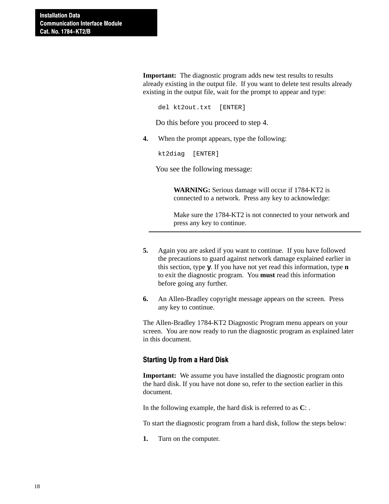**Important:** The diagnostic program adds new test results to results already existing in the output file. If you want to delete test results already existing in the output file, wait for the prompt to appear and type:

del kt2out.txt [ENTER]

Do this before you proceed to step 4.

**4.** When the prompt appears, type the following:

kt2diag [ENTER]

You see the following message:

**WARNING:** Serious damage will occur if 1784-KT2 is connected to a network. Press any key to acknowledge:

Make sure the 1784-KT2 is not connected to your network and press any key to continue.

- **5.** Again you are asked if you want to continue. If you have followed the precautions to guard against network damage explained earlier in this section, type **y**. If you have not yet read this information, type **n** to exit the diagnostic program. You **must** read this information before going any further.
- **6.** An Allen-Bradley copyright message appears on the screen. Press any key to continue.

The Allen-Bradley 1784-KT2 Diagnostic Program menu appears on your screen. You are now ready to run the diagnostic program as explained later in this document.

#### Starting Up from a Hard Disk

**Important:** We assume you have installed the diagnostic program onto the hard disk. If you have not done so, refer to the section earlier in this document.

In the following example, the hard disk is referred to as **C**: .

To start the diagnostic program from a hard disk, follow the steps below:

**1.** Turn on the computer.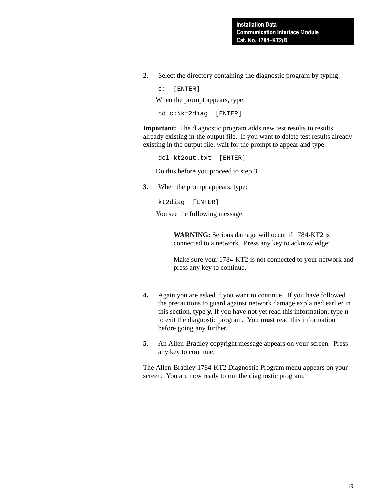**2.** Select the directory containing the diagnostic program by typing:

c: [ENTER]

When the prompt appears, type:

cd c:\kt2diag [ENTER]

**Important:** The diagnostic program adds new test results to results already existing in the output file. If you want to delete test results already existing in the output file, wait for the prompt to appear and type:

del kt2out.txt [ENTER]

Do this before you proceed to step 3.

**3.** When the prompt appears, type:

kt2diag [ENTER]

You see the following message:

**WARNING:** Serious damage will occur if 1784-KT2 is connected to a network. Press any key to acknowledge:

Make sure your 1784-KT2 is not connected to your network and press any key to continue.

- **4.** Again you are asked if you want to continue. If you have followed the precautions to guard against network damage explained earlier in this section, type **y**. If you have not yet read this information, type **n** to exit the diagnostic program. You **must** read this information before going any further.
- **5.** An Allen-Bradley copyright message appears on your screen. Press any key to continue.

The Allen-Bradley 1784-KT2 Diagnostic Program menu appears on your screen. You are now ready to run the diagnostic program.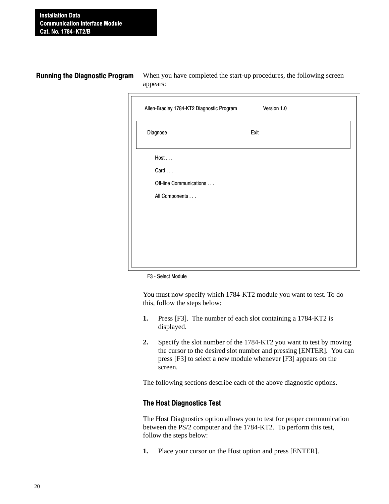# Running the Diagnostic Program

| When you have completed the start-up procedures, the following screen |
|-----------------------------------------------------------------------|
| appears:                                                              |

| Allen-Bradley 1784-KT2 Diagnostic Program | Version 1.0 |
|-------------------------------------------|-------------|
| Diagnose                                  | Exit        |
| Host                                      |             |
| Card                                      |             |
| Off-line Communications                   |             |
| All Components                            |             |
|                                           |             |
|                                           |             |
|                                           |             |
|                                           |             |
|                                           |             |

F3 - Select Module

You must now specify which 1784-KT2 module you want to test. To do this, follow the steps below:

- **1.** Press [F3]. The number of each slot containing a 1784-KT2 is displayed.
- **2.** Specify the slot number of the 1784-KT2 you want to test by moving the cursor to the desired slot number and pressing [ENTER]. You can press [F3] to select a new module whenever [F3] appears on the screen.

The following sections describe each of the above diagnostic options.

# The Host Diagnostics Test

The Host Diagnostics option allows you to test for proper communication between the PS/2 computer and the 1784-KT2. To perform this test, follow the steps below:

**1.** Place your cursor on the Host option and press [ENTER].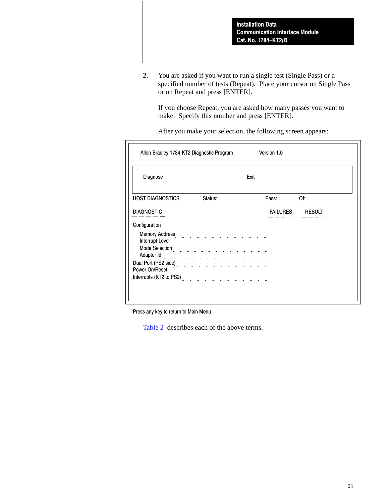**2.** You are asked if you want to run a single test (Single Pass) or a specified number of tests (Repeat). Place your cursor on Single Pass or on Repeat and press [ENTER].

If you choose Repeat, you are asked how many passes you want to make. Specify this number and press [ENTER].

| Exit<br>Diagnose<br><b>HOST DIAGNOSTICS</b><br>Of:<br>Status:<br>Pass:<br><b>DIAGNOSTIC</b><br>FAILURES<br><b>RESULT</b><br>Configuration<br>Memory Address <b>Manager Address Containing the Contact of Contact Address</b><br>Interrupt Level 2 2 2 2 2 2 2 2 2 2 2 2 2 2 2 2 2<br>Mode Selection <sub>2</sub> and 2 and 2 and 2 and 2 and 2 and 2 and 2 and 2 and 2 and 2 and 2 and 2 and 2 and 2 and 2 and 2 and 2 and 2 and 2 and 2 and 2 and 2 and 2 and 2 and 2 and 2 and 2 and 2 and 2 and 2 and 2 and 2 and 2 and 2<br>Adapter Id Program and Program and Program and Program and Program and Program and Program and Program and Program and Program and Program and Program and Program and Program and Program and Program and Program and Program<br>Dual Port $(PS2 \text{ side})$ | Power On/Reset $\frac{1}{2}$ $\frac{1}{2}$ $\frac{1}{2}$ $\frac{1}{2}$ $\frac{1}{2}$ $\frac{1}{2}$ $\frac{1}{2}$ $\frac{1}{2}$ $\frac{1}{2}$ $\frac{1}{2}$ $\frac{1}{2}$ $\frac{1}{2}$ $\frac{1}{2}$ $\frac{1}{2}$ $\frac{1}{2}$ $\frac{1}{2}$ $\frac{1}{2}$ $\frac{1}{2}$ $\frac{1}{2}$ | Allen-Bradley 1784-KT2 Diagnostic Program | Version 1.0 |  |
|--------------------------------------------------------------------------------------------------------------------------------------------------------------------------------------------------------------------------------------------------------------------------------------------------------------------------------------------------------------------------------------------------------------------------------------------------------------------------------------------------------------------------------------------------------------------------------------------------------------------------------------------------------------------------------------------------------------------------------------------------------------------------------------------------|------------------------------------------------------------------------------------------------------------------------------------------------------------------------------------------------------------------------------------------------------------------------------------------|-------------------------------------------|-------------|--|
|                                                                                                                                                                                                                                                                                                                                                                                                                                                                                                                                                                                                                                                                                                                                                                                                  |                                                                                                                                                                                                                                                                                          |                                           |             |  |
|                                                                                                                                                                                                                                                                                                                                                                                                                                                                                                                                                                                                                                                                                                                                                                                                  |                                                                                                                                                                                                                                                                                          |                                           |             |  |
|                                                                                                                                                                                                                                                                                                                                                                                                                                                                                                                                                                                                                                                                                                                                                                                                  |                                                                                                                                                                                                                                                                                          |                                           |             |  |
|                                                                                                                                                                                                                                                                                                                                                                                                                                                                                                                                                                                                                                                                                                                                                                                                  |                                                                                                                                                                                                                                                                                          |                                           |             |  |
|                                                                                                                                                                                                                                                                                                                                                                                                                                                                                                                                                                                                                                                                                                                                                                                                  |                                                                                                                                                                                                                                                                                          |                                           |             |  |
|                                                                                                                                                                                                                                                                                                                                                                                                                                                                                                                                                                                                                                                                                                                                                                                                  |                                                                                                                                                                                                                                                                                          |                                           |             |  |
|                                                                                                                                                                                                                                                                                                                                                                                                                                                                                                                                                                                                                                                                                                                                                                                                  |                                                                                                                                                                                                                                                                                          |                                           |             |  |
|                                                                                                                                                                                                                                                                                                                                                                                                                                                                                                                                                                                                                                                                                                                                                                                                  |                                                                                                                                                                                                                                                                                          |                                           |             |  |
|                                                                                                                                                                                                                                                                                                                                                                                                                                                                                                                                                                                                                                                                                                                                                                                                  |                                                                                                                                                                                                                                                                                          |                                           |             |  |
|                                                                                                                                                                                                                                                                                                                                                                                                                                                                                                                                                                                                                                                                                                                                                                                                  |                                                                                                                                                                                                                                                                                          |                                           |             |  |

Press any key to return to Main Menu

[Table 2](#page-21-0) describes each of the above terms.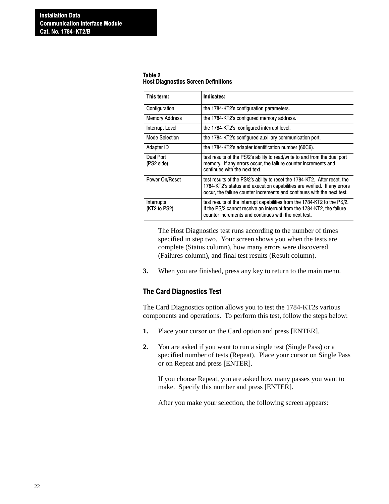<span id="page-21-0"></span>

| Table 2                                    |  |
|--------------------------------------------|--|
| <b>Host Diagnostics Screen Definitions</b> |  |

| This term:                 | Indicates:                                                                                                                                                                                                                        |
|----------------------------|-----------------------------------------------------------------------------------------------------------------------------------------------------------------------------------------------------------------------------------|
| Configuration              | the 1784-KT2's configuration parameters.                                                                                                                                                                                          |
| <b>Memory Address</b>      | the 1784-KT2's configured memory address.                                                                                                                                                                                         |
| Interrupt Level            | the 1784-KT2's configured interrupt level.                                                                                                                                                                                        |
| <b>Mode Selection</b>      | the 1784-KT2's configured auxiliary communication port.                                                                                                                                                                           |
| Adapter ID                 | the 1784-KT2's adapter identification number (60C6).                                                                                                                                                                              |
| Dual Port<br>(PS2 side)    | test results of the PS/2's ability to read/write to and from the dual port<br>memory. If any errors occur, the failure counter increments and<br>continues with the next text.                                                    |
| Power On/Reset             | test results of the PS/2's ability to reset the 1784-KT2. After reset, the<br>1784-KT2's status and execution capabilities are verified. If any errors<br>occur, the failure counter increments and continues with the next test. |
| Interrupts<br>(KT2 to PS2) | test results of the interrupt capabilities from the 1784-KT2 to the PS/2.<br>If the PS/2 cannot receive an interrupt from the 1784-KT2, the failure<br>counter increments and continues with the next test.                       |

The Host Diagnostics test runs according to the number of times specified in step two. Your screen shows you when the tests are complete (Status column), how many errors were discovered (Failures column), and final test results (Result column).

**3.** When you are finished, press any key to return to the main menu.

#### The Card Diagnostics Test

The Card Diagnostics option allows you to test the 1784-KT2s various components and operations. To perform this test, follow the steps below:

- **1.** Place your cursor on the Card option and press [ENTER].
- **2.** You are asked if you want to run a single test (Single Pass) or a specified number of tests (Repeat). Place your cursor on Single Pass or on Repeat and press [ENTER].

If you choose Repeat, you are asked how many passes you want to make. Specify this number and press [ENTER].

After you make your selection, the following screen appears: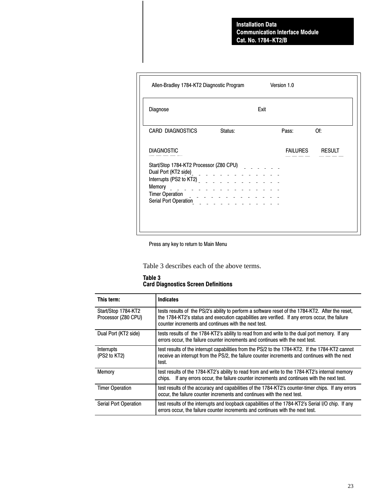| Allen-Bradley 1784-KT2 Diagnostic Program                                                                                                                                                                                                                                                                                                                                                                                                                                                                                                                                   |         |      | Version 1.0 |                 |
|-----------------------------------------------------------------------------------------------------------------------------------------------------------------------------------------------------------------------------------------------------------------------------------------------------------------------------------------------------------------------------------------------------------------------------------------------------------------------------------------------------------------------------------------------------------------------------|---------|------|-------------|-----------------|
| Diagnose                                                                                                                                                                                                                                                                                                                                                                                                                                                                                                                                                                    |         | Exit |             |                 |
| CARD DIAGNOSTICS                                                                                                                                                                                                                                                                                                                                                                                                                                                                                                                                                            | Status: |      | Pass:       | Of:             |
| <b>DIAGNOSTIC</b>                                                                                                                                                                                                                                                                                                                                                                                                                                                                                                                                                           |         |      |             | FAILURES RESULT |
| Start/Stop 1784-KT2 Processor (Z80 CPU)<br>Dual Port (KT2 side)<br>$\frac{1}{2}$ $\frac{1}{2}$ $\frac{1}{2}$ $\frac{1}{2}$ $\frac{1}{2}$ $\frac{1}{2}$ $\frac{1}{2}$ $\frac{1}{2}$ $\frac{1}{2}$ $\frac{1}{2}$ $\frac{1}{2}$ $\frac{1}{2}$ $\frac{1}{2}$ $\frac{1}{2}$ $\frac{1}{2}$ $\frac{1}{2}$ $\frac{1}{2}$ $\frac{1}{2}$ $\frac{1}{2}$ $\frac{1}{2}$<br>Interrupts (PS2 to KT2) $\frac{1}{2}$ $\frac{1}{2}$ $\frac{1}{2}$ $\frac{1}{2}$ $\frac{1}{2}$ $\frac{1}{2}$ $\frac{1}{2}$ $\frac{1}{2}$ $\frac{1}{2}$ $\frac{1}{2}$ $\frac{1}{2}$ $\frac{1}{2}$ $\frac{1}{2}$ |         |      |             |                 |
| Memory and a series of the state of the state of the<br>Timer Operation<br>Serial Port Operation <b>Containing the Contact Container Container</b>                                                                                                                                                                                                                                                                                                                                                                                                                          |         |      |             |                 |
|                                                                                                                                                                                                                                                                                                                                                                                                                                                                                                                                                                             |         |      |             |                 |
|                                                                                                                                                                                                                                                                                                                                                                                                                                                                                                                                                                             |         |      |             |                 |

Press any key to return to Main Menu

Table 3 describes each of the above terms.

Table 3 Card Diagnostics Screen Definitions

| This term:                                 | <b>Indicates</b>                                                                                                                                                                                                                                             |
|--------------------------------------------|--------------------------------------------------------------------------------------------------------------------------------------------------------------------------------------------------------------------------------------------------------------|
| Start/Stop 1784-KT2<br>Processor (Z80 CPU) | tests results of the PS/2's ability to perform a software reset of the 1784-KT2. After the reset,<br>the 1784-KT2's status and execution capabilities are verified. If any errors occur, the failure<br>counter increments and continues with the next test. |
| Dual Port (KT2 side)                       | tests results of the 1784-KT2's ability to read from and write to the dual port memory. If any<br>errors occur, the failure counter increments and continues with the next test.                                                                             |
| Interrupts<br>(PS2 to KT2)                 | test results of the interrupt capabilities from the PS/2 to the 1784-KT2. If the 1784-KT2 cannot<br>receive an interrupt from the PS/2, the failure counter increments and continues with the next<br>test.                                                  |
| Memory                                     | test results of the 1784-KT2's ability to read from and write to the 1784-KT2's internal memory<br>chips. If any errors occur, the failure counter increments and continues with the next test.                                                              |
| <b>Timer Operation</b>                     | test results of the accuracy and capabilities of the 1784-KT2's counter-timer chips. If any errors<br>occur, the failure counter increments and continues with the next test.                                                                                |
| Serial Port Operation                      | test results of the interrupts and loopback capabilities of the 1784-KT2's Serial I/O chip. If any<br>errors occur, the failure counter increments and continues with the next test.                                                                         |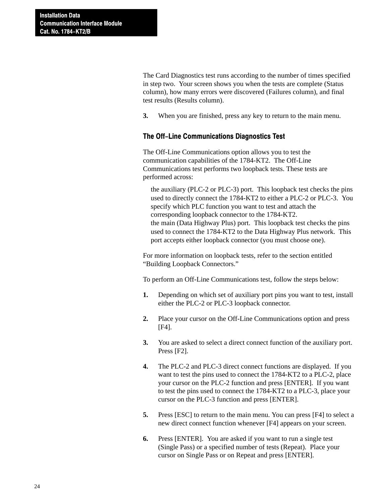The Card Diagnostics test runs according to the number of times specified in step two. Your screen shows you when the tests are complete (Status column), how many errors were discovered (Failures column), and final test results (Results column).

**3.** When you are finished, press any key to return to the main menu.

#### The Off-Line Communications Diagnostics Test

The Off-Line Communications option allows you to test the communication capabilities of the 1784-KT2. The Off-Line Communications test performs two loopback tests. These tests are performed across:

the auxiliary (PLC-2 or PLC-3) port. This loopback test checks the pins used to directly connect the 1784-KT2 to either a PLC-2 or PLC-3. You specify which PLC function you want to test and attach the corresponding loopback connector to the 1784-KT2. the main (Data Highway Plus) port. This loopback test checks the pins used to connect the 1784-KT2 to the Data Highway Plus network. This port accepts either loopback connector (you must choose one).

For more information on loopback tests, refer to the section entitled "Building Loopback Connectors."

To perform an Off-Line Communications test, follow the steps below:

- **1.** Depending on which set of auxiliary port pins you want to test, install either the PLC-2 or PLC-3 loopback connector.
- **2.** Place your cursor on the Off-Line Communications option and press [F4].
- **3.** You are asked to select a direct connect function of the auxiliary port. Press [F2].
- **4.** The PLC-2 and PLC-3 direct connect functions are displayed. If you want to test the pins used to connect the 1784-KT2 to a PLC-2, place your cursor on the PLC-2 function and press [ENTER]. If you want to test the pins used to connect the 1784-KT2 to a PLC-3, place your cursor on the PLC-3 function and press [ENTER].
- **5.** Press [ESC] to return to the main menu. You can press [F4] to select a new direct connect function whenever [F4] appears on your screen.
- **6.** Press [ENTER]. You are asked if you want to run a single test (Single Pass) or a specified number of tests (Repeat). Place your cursor on Single Pass or on Repeat and press [ENTER].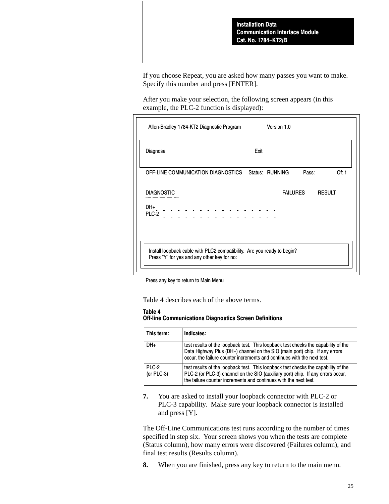If you choose Repeat, you are asked how many passes you want to make. Specify this number and press [ENTER].

After you make your selection, the following screen appears (in this example, the PLC-2 function is displayed):

| Allen-Bradley 1784-KT2 Diagnostic Program                                                                              |      | Version 1.0     |       |                        |
|------------------------------------------------------------------------------------------------------------------------|------|-----------------|-------|------------------------|
| Diagnose                                                                                                               | Exit |                 |       |                        |
| OFF-LINE COMMUNICATION DIAGNOSTICS                                                                                     |      | Status: RUNNING | Pass: | Of: 1                  |
| <b>DIAGNOSTIC</b>                                                                                                      |      |                 |       | <b>FAILURES RESULT</b> |
| DH+<br>PLC-2                                                                                                           |      |                 |       |                        |
| Install loopback cable with PLC2 compatibility. Are you ready to begin?<br>Press "Y" for yes and any other key for no: |      |                 |       |                        |

Press any key to return to Main Menu

Table 4 describes each of the above terms.

#### Table 4

#### **Off-line Communications Diagnostics Screen Definitions**

| This term:             | Indicates:                                                                                                                                                                                                                                  |
|------------------------|---------------------------------------------------------------------------------------------------------------------------------------------------------------------------------------------------------------------------------------------|
| DH+                    | test results of the loopback test. This loopback test checks the capability of the<br>Data Highway Plus (DH+) channel on the SIO (main port) chip. If any errors<br>occur, the failure counter increments and continues with the next test. |
| PLC-2<br>(or $PLC-3$ ) | test results of the loopback test. This loopback test checks the capability of the<br>PLC-2 (or PLC-3) channel on the SIO (auxiliary port) chip. If any errors occur,<br>the failure counter increments and continues with the next test.   |

**7.** You are asked to install your loopback connector with PLC-2 or PLC-3 capability. Make sure your loopback connector is installed and press [Y].

The Off-Line Communications test runs according to the number of times specified in step six. Your screen shows you when the tests are complete (Status column), how many errors were discovered (Failures column), and final test results (Results column).

**8.** When you are finished, press any key to return to the main menu.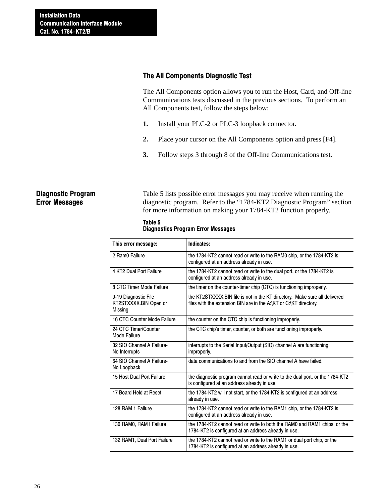#### The All Components Diagnostic Test

The All Components option allows you to run the Host, Card, and Off-line Communications tests discussed in the previous sections. To perform an All Components test, follow the steps below:

- **1.** Install your PLC-2 or PLC-3 loopback connector.
- **2.** Place your cursor on the All Components option and press [F4].
- **3.** Follow steps 3 through 8 of the Off-line Communications test.

#### Diagnostic Program Error Messages

Table 5 lists possible error messages you may receive when running the diagnostic program. Refer to the "1784-KT2 Diagnostic Program" section for more information on making your 1784-KT2 function properly.

#### Table 5 Diagnostics Program Error Messages

| This error message:                                      | Indicates:                                                                                                                                      |
|----------------------------------------------------------|-------------------------------------------------------------------------------------------------------------------------------------------------|
| 2 Ram0 Failure                                           | the 1784-KT2 cannot read or write to the RAM0 chip, or the 1784-KT2 is<br>configured at an address already in use.                              |
| 4 KT2 Dual Port Failure                                  | the 1784-KT2 cannot read or write to the dual port, or the 1784-KT2 is<br>configured at an address already in use.                              |
| 8 CTC Timer Mode Failure                                 | the timer on the counter-timer chip (CTC) is functioning improperly.                                                                            |
| 9-19 Diagnostic File<br>KT2STXXXX.BIN Open or<br>Missing | the KT2STXXXX.BIN file is not in the KT directory. Make sure all delivered<br>files with the extension BIN are in the A:\KT or C:\KT directory. |
| 16 CTC Counter Mode Failure                              | the counter on the CTC chip is functioning improperly.                                                                                          |
| 24 CTC Timer/Counter<br>Mode Failure                     | the CTC chip's timer, counter, or both are functioning improperly.                                                                              |
| 32 SIO Channel A Failure-<br>No Interrupts               | interrupts to the Serial Input/Output (SIO) channel A are functioning<br>improperly.                                                            |
| 64 SIO Channel A Failure-<br>No Loopback                 | data communications to and from the SIO channel A have failed.                                                                                  |
| 15 Host Dual Port Failure                                | the diagnostic program cannot read or write to the dual port, or the 1784-KT2<br>is configured at an address already in use.                    |
| 17 Board Held at Reset                                   | the 1784-KT2 will not start, or the 1784-KT2 is configured at an address<br>already in use.                                                     |
| 128 RAM 1 Failure                                        | the 1784-KT2 cannot read or write to the RAM1 chip, or the 1784-KT2 is<br>configured at an address already in use.                              |
| 130 RAM0, RAM1 Failure                                   | the 1784-KT2 cannot read or write to both the RAM0 and RAM1 chips, or the<br>1784-KT2 is configured at an address already in use.               |
| 132 RAM1, Dual Port Failure                              | the 1784-KT2 cannot read or write to the RAM1 or dual port chip, or the<br>1784-KT2 is configured at an address already in use.                 |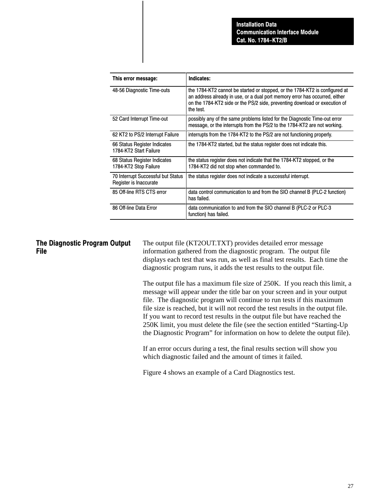| This error message:                                          | Indicates:                                                                                                                                                                                                                                            |
|--------------------------------------------------------------|-------------------------------------------------------------------------------------------------------------------------------------------------------------------------------------------------------------------------------------------------------|
| 48-56 Diagnostic Time-outs                                   | the 1784-KT2 cannot be started or stopped, or the 1784-KT2 is configured at<br>an address already in use, or a dual port memory error has occurred, either<br>on the 1784-KT2 side or the PS/2 side, preventing download or execution of<br>the test. |
| 52 Card Interrupt Time-out                                   | possibly any of the same problems listed for the Diagnostic Time-out error<br>message, or the interrupts from the PS/2 to the 1784-KT2 are not working.                                                                                               |
| 62 KT2 to PS/2 Interrupt Failure                             | interrupts from the 1784-KT2 to the PS/2 are not functioning properly.                                                                                                                                                                                |
| 66 Status Register Indicates<br>1784-KT2 Start Failure       | the 1784-KT2 started, but the status register does not indicate this.                                                                                                                                                                                 |
| 68 Status Register Indicates<br>1784-KT2 Stop Failure        | the status register does not indicate that the 1784-KT2 stopped, or the<br>1784-KT2 did not stop when commanded to.                                                                                                                                   |
| 70 Interrupt Successful but Status<br>Register is Inaccurate | the status register does not indicate a successful interrupt.                                                                                                                                                                                         |
| 85 Off-line RTS CTS error                                    | data control communication to and from the SIO channel B (PLC-2 function)<br>has failed.                                                                                                                                                              |
| 86 Off-line Data Error                                       | data communication to and from the SIO channel B (PLC-2 or PLC-3<br>function) has failed.                                                                                                                                                             |

# The Diagnostic Program Output File

The output file (KT2OUT.TXT) provides detailed error message information gathered from the diagnostic program. The output file displays each test that was run, as well as final test results. Each time the diagnostic program runs, it adds the test results to the output file.

The output file has a maximum file size of 250K. If you reach this limit, a message will appear under the title bar on your screen and in your output file. The diagnostic program will continue to run tests if this maximum file size is reached, but it will not record the test results in the output file. If you want to record test results in the output file but have reached the 250K limit, you must delete the file (see the section entitled "Starting-Up the Diagnostic Program" for information on how to delete the output file).

If an error occurs during a test, the final results section will show you which diagnostic failed and the amount of times it failed.

Figure 4 shows an example of a Card Diagnostics test.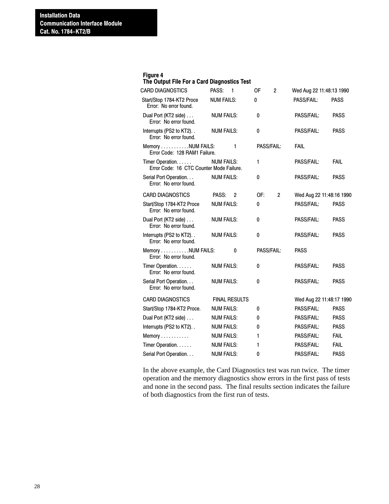# Figure 4

# The Output File For a Card Diagnostics Test

| <b>CARD DIAGNOSTICS</b>                                      | PASS:             | 1                    | 0F          | $\overline{c}$ | Wed Aug 22 11:48:13 1990 |             |
|--------------------------------------------------------------|-------------------|----------------------|-------------|----------------|--------------------------|-------------|
| Start/Stop 1784-KT2 Proce<br>Error: No error found.          | <b>NUM FAILS:</b> |                      | 0           |                | PASS/FAIL:               | <b>PASS</b> |
| Dual Port (KT2 side)<br>Error: No error found.               | <b>NUM FAILS:</b> |                      | 0           |                | <b>PASS/FAIL:</b>        | <b>PASS</b> |
| Interrupts (PS2 to KT2)<br>Error: No error found.            | <b>NUM FAILS:</b> |                      | 0           |                | PASS/FAIL:               | <b>PASS</b> |
| Memory NUM FAILS:<br>Error Code: 128 RAM1 Failure.           |                   | 1                    |             | PASS/FAIL:     | <b>FAIL</b>              |             |
| Timer Operation.<br>Error Code: 16 CTC Counter Mode Failure. | <b>NUM FAILS:</b> |                      | 1           |                | PASS/FAIL:               | <b>FAIL</b> |
| Serial Port Operation<br>Error: No error found.              | <b>NUM FAILS:</b> |                      | 0           |                | <b>PASS/FAIL:</b>        | <b>PASS</b> |
| <b>CARD DIAGNOSTICS</b>                                      | PASS:             | 2                    | OF:         | $\overline{2}$ | Wed Aug 22 11:48:16 1990 |             |
| Start/Stop 1784-KT2 Proce<br>Error: No error found.          | <b>NUM FAILS:</b> |                      | 0           |                | PASS/FAIL:               | <b>PASS</b> |
| Dual Port (KT2 side)<br>Error: No error found.               | <b>NUM FAILS:</b> |                      | 0           |                | PASS/FAIL:               | <b>PASS</b> |
| Interrupts (PS2 to KT2)<br>Error: No error found.            | <b>NUM FAILS:</b> |                      | 0           |                | <b>PASS/FAIL:</b>        | <b>PASS</b> |
| Memory NUM FAILS:<br>Error: No error found.                  |                   | 0                    |             | PASS/FAIL:     | <b>PASS</b>              |             |
| Timer Operation.<br>Error: No error found.                   | <b>NUM FAILS:</b> |                      | 0           |                | <b>PASS/FAIL:</b>        | <b>PASS</b> |
| Serial Port Operation.<br>Error: No error found.             | <b>NUM FAILS:</b> |                      | $\mathbf 0$ |                | PASS/FAIL:               | <b>PASS</b> |
| <b>CARD DIAGNOSTICS</b>                                      |                   | <b>FINAL RESULTS</b> |             |                | Wed Aug 22 11:48:17 1990 |             |
| Start/Stop 1784-KT2 Proce.                                   | <b>NUM FAILS:</b> |                      | 0           |                | PASS/FAIL:               | <b>PASS</b> |
| Dual Port (KT2 side)                                         | <b>NUM FAILS:</b> |                      | 0           |                | PASS/FAIL:               | <b>PASS</b> |
| Interrupts (PS2 to KT2)                                      | <b>NUM FAILS:</b> |                      | 0           |                | PASS/FAIL:               | <b>PASS</b> |
| Memory $\dots\dots\dots\dots$                                | <b>NUM FAILS:</b> |                      | 1           |                | PASS/FAIL:               | <b>FAIL</b> |
| Timer Operation.                                             | <b>NUM FAILS:</b> |                      | 1           |                | PASS/FAIL:               | <b>FAIL</b> |
| Serial Port Operation                                        | <b>NUM FAILS:</b> |                      | 0           |                | PASS/FAIL:               | <b>PASS</b> |

In the above example, the Card Diagnostics test was run twice. The timer operation and the memory diagnostics show errors in the first pass of tests and none in the second pass. The final results section indicates the failure of both diagnostics from the first run of tests.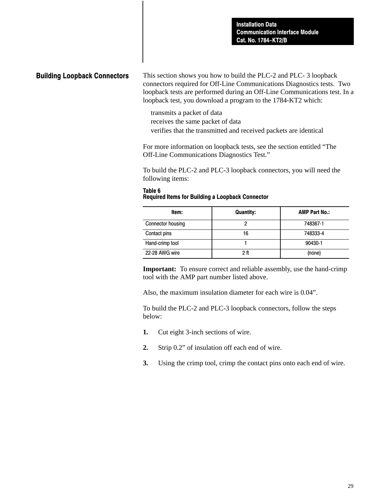#### Building Loopback Connectors

This section shows you how to build the PLC-2 and PLC- 3 loopback connectors required for Off-Line Communications Diagnostics tests. Two loopback tests are performed during an Off-Line Communications test. In a loopback test, you download a program to the 1784-KT2 which:

transmits a packet of data receives the same packet of data verifies that the transmitted and received packets are identical

For more information on loopback tests, see the section entitled "The Off-Line Communications Diagnostics Test."

To build the PLC-2 and PLC-3 loopback connectors, you will need the following items:

Table 6 Required Items for Building a Loopback Connector

| Item:             | <b>Quantity:</b> | <b>AMP Part No.:</b> |
|-------------------|------------------|----------------------|
| Connector housing |                  | 748367-1             |
| Contact pins      | 16               | 748333-4             |
| Hand-crimp tool   |                  | 90430-1              |
| 22-28 AWG wire    |                  | (none)               |

**Important:** To ensure correct and reliable assembly, use the hand-crimp tool with the AMP part number listed above.

Also, the maximum insulation diameter for each wire is 0.04".

To build the PLC-2 and PLC-3 loopback connectors, follow the steps below:

- **1.** Cut eight 3-inch sections of wire.
- **2.** Strip 0.2" of insulation off each end of wire.
- **3.** Using the crimp tool, crimp the contact pins onto each end of wire.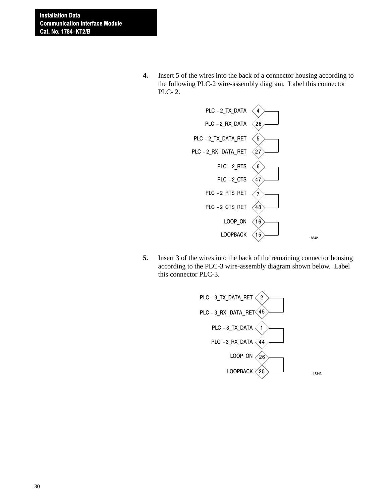**4.** Insert 5 of the wires into the back of a connector housing according to the following PLC-2 wire-assembly diagram. Label this connector PLC- 2.



**5.** Insert 3 of the wires into the back of the remaining connector housing according to the PLC-3 wire-assembly diagram shown below. Label this connector PLC-3.